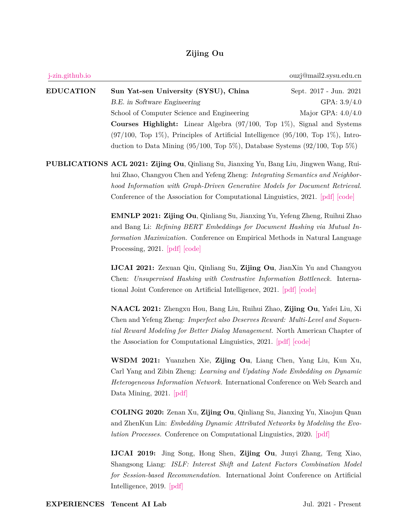## **Zijing Ou**

| j-zin.github.io  |                                                                                                                                                                                                                                                                                                                                                                                                                                                                                                                                                                                                                                 | ouzj@mail2.sysu.edu.cn                                           |
|------------------|---------------------------------------------------------------------------------------------------------------------------------------------------------------------------------------------------------------------------------------------------------------------------------------------------------------------------------------------------------------------------------------------------------------------------------------------------------------------------------------------------------------------------------------------------------------------------------------------------------------------------------|------------------------------------------------------------------|
| <b>EDUCATION</b> | Sun Yat-sen University (SYSU), China<br>B.E. in Software Engineering<br>School of Computer Science and Engineering<br><b>Courses Highlight:</b> Linear Algebra $(97/100, Top 1\%)$ , Signal and Systems<br>$(97/100, Top 1\%)$ , Principles of Artificial Intelligence $(95/100, Top 1\%)$ , Intro-<br>duction to Data Mining $(95/100,$ Top 5%), Database Systems $(92/100,$ Top 5%)                                                                                                                                                                                                                                           | Sept. 2017 - Jun. 2021<br>GPA: $3.9/4.0$<br>Major GPA: $4.0/4.0$ |
|                  | PUBLICATIONS ACL 2021: Zijing Ou, Qinliang Su, Jianxing Yu, Bang Liu, Jingwen Wang, Rui-<br>hui Zhao, Changyou Chen and Yefeng Zheng: Integrating Semantics and Neighbor-<br>hood Information with Graph-Driven Generative Models for Document Retrieval.<br>Conference of the Association for Computational Linguistics, 2021. [pdf] [code]<br><b>EMNLP 2021: Zijing Ou, Qinliang Su, Jianxing Yu, Yefeng Zheng, Ruihui Zhao</b><br>and Bang Li: Refining BERT Embeddings for Document Hashing via Mutual In-<br>formation Maximization. Conference on Empirical Methods in Natural Language<br>Processing, 2021. [pdf] [code] |                                                                  |
|                  | <b>IJCAI 2021:</b> Zexuan Qiu, Qinliang Su, Zijing Ou, JianXin Yu and Changyou<br>Chen: Unsupervised Hashing with Contrastive Information Bottleneck. Interna-<br>tional Joint Conference on Artificial Intelligence, 2021. [pdf] [code]                                                                                                                                                                                                                                                                                                                                                                                        |                                                                  |
|                  | NAACL 2021: Zhengxu Hou, Bang Liu, Ruihui Zhao, Zijing Ou, Yafei Liu, Xi<br>Chen and Yefeng Zheng: Imperfect also Deserves Reward: Multi-Level and Sequen-<br>tial Reward Modeling for Better Dialog Management. North American Chapter of<br>the Association for Computational Linguistics, 2021. [pdf] [code]                                                                                                                                                                                                                                                                                                                 |                                                                  |
|                  | WSDM 2021: Yuanzhen Xie, Zijing Ou, Liang Chen, Yang Liu, Kun Xu,<br>Carl Yang and Zibin Zheng: Learning and Updating Node Embedding on Dynamic<br>Heterogeneous Information Network. International Conference on Web Search and<br>Data Mining, 2021. [pdf]                                                                                                                                                                                                                                                                                                                                                                    |                                                                  |
|                  | <b>COLING 2020:</b> Zenan Xu, Zijing Ou, Qinliang Su, Jianxing Yu, Xiaojun Quan<br>and ZhenKun Lin: Embedding Dynamic Attributed Networks by Modeling the Evo-<br><i>lution Processes.</i> Conference on Computational Linguistics, 2020. [pdf]                                                                                                                                                                                                                                                                                                                                                                                 |                                                                  |
|                  | <b>IJCAI 2019:</b> Jing Song, Hong Shen, Zijing Ou, Junyi Zhang, Teng Xiao,<br>Shangsong Liang: ISLF: Interest Shift and Latent Factors Combination Model<br>for Session-based Recommendation. International Joint Conference on Artificial<br>Intelligence, 2019. [pdf]                                                                                                                                                                                                                                                                                                                                                        |                                                                  |